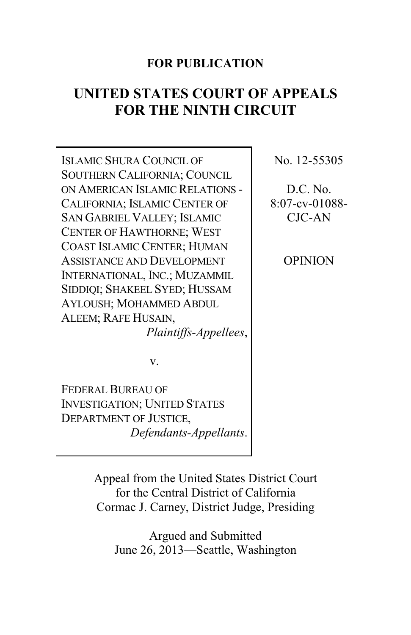# **FOR PUBLICATION**

# **UNITED STATES COURT OF APPEALS FOR THE NINTH CIRCUIT**

ISLAMIC SHURA COUNCIL OF SOUTHERN CALIFORNIA; COUNCIL ON AMERICAN ISLAMIC RELATIONS - CALIFORNIA; ISLAMIC CENTER OF SAN GABRIEL VALLEY; ISLAMIC CENTER OF HAWTHORNE; WEST COAST ISLAMIC CENTER; HUMAN ASSISTANCE AND DEVELOPMENT INTERNATIONAL, INC.; MUZAMMIL SIDDIQI; SHAKEEL SYED; HUSSAM AYLOUSH; MOHAMMED ABDUL ALEEM; RAFE HUSAIN, *Plaintiffs-Appellees*, No. 12-55305

D.C. No. 8:07-cv-01088- CJC-AN

OPINION

v.

FEDERAL BUREAU OF INVESTIGATION; UNITED STATES DEPARTMENT OF JUSTICE, *Defendants-Appellants*.

> Appeal from the United States District Court for the Central District of California Cormac J. Carney, District Judge, Presiding

Argued and Submitted June 26, 2013—Seattle, Washington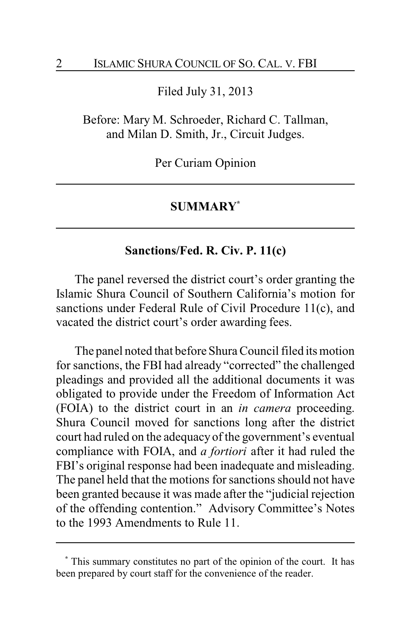Filed July 31, 2013

Before: Mary M. Schroeder, Richard C. Tallman, and Milan D. Smith, Jr., Circuit Judges.

Per Curiam Opinion

### **SUMMARY\***

## **Sanctions/Fed. R. Civ. P. 11(c)**

The panel reversed the district court's order granting the Islamic Shura Council of Southern California's motion for sanctions under Federal Rule of Civil Procedure 11(c), and vacated the district court's order awarding fees.

The panel noted that before Shura Council filed its motion for sanctions, the FBI had already "corrected" the challenged pleadings and provided all the additional documents it was obligated to provide under the Freedom of Information Act (FOIA) to the district court in an *in camera* proceeding. Shura Council moved for sanctions long after the district court had ruled on the adequacy of the government's eventual compliance with FOIA, and *a fortiori* after it had ruled the FBI's original response had been inadequate and misleading. The panel held that the motions for sanctions should not have been granted because it was made after the "judicial rejection of the offending contention." Advisory Committee's Notes to the 1993 Amendments to Rule 11.

**<sup>\*</sup>** This summary constitutes no part of the opinion of the court. It has been prepared by court staff for the convenience of the reader.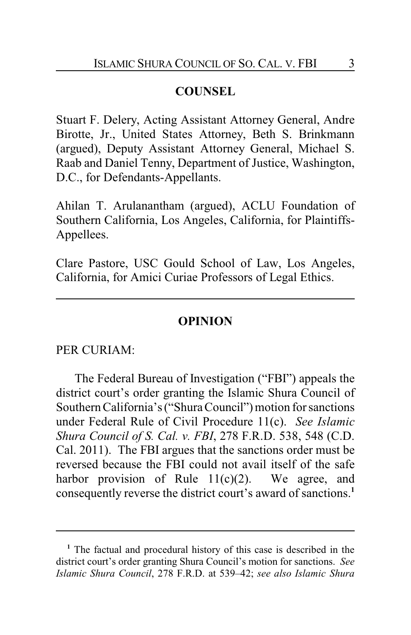# **COUNSEL**

Stuart F. Delery, Acting Assistant Attorney General, Andre Birotte, Jr., United States Attorney, Beth S. Brinkmann (argued), Deputy Assistant Attorney General, Michael S. Raab and Daniel Tenny, Department of Justice, Washington, D.C., for Defendants-Appellants.

Ahilan T. Arulanantham (argued), ACLU Foundation of Southern California, Los Angeles, California, for Plaintiffs-Appellees.

Clare Pastore, USC Gould School of Law, Los Angeles, California, for Amici Curiae Professors of Legal Ethics.

## **OPINION**

### PER CURIAM:

The Federal Bureau of Investigation ("FBI") appeals the district court's order granting the Islamic Shura Council of Southern California's ("Shura Council") motion for sanctions under Federal Rule of Civil Procedure 11(c). *See Islamic Shura Council of S. Cal. v. FBI*, 278 F.R.D. 538, 548 (C.D. Cal. 2011). The FBI argues that the sanctions order must be reversed because the FBI could not avail itself of the safe harbor provision of Rule  $11(c)(2)$ . We agree, and consequently reverse the district court's award of sanctions.**<sup>1</sup>**

**<sup>1</sup>** The factual and procedural history of this case is described in the district court's order granting Shura Council's motion for sanctions. *See Islamic Shura Council*, 278 F.R.D. at 539–42; *see also Islamic Shura*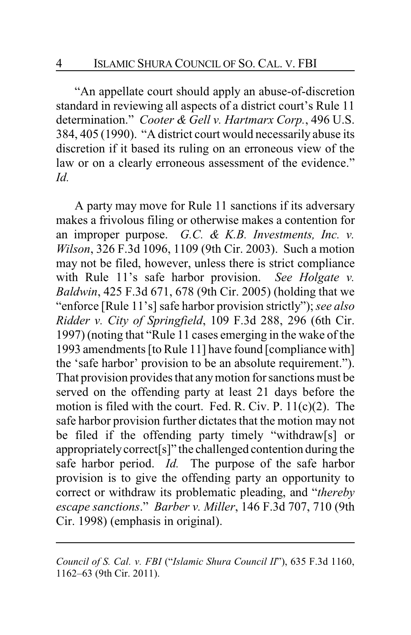"An appellate court should apply an abuse-of-discretion standard in reviewing all aspects of a district court's Rule 11 determination." *Cooter & Gell v. Hartmarx Corp.*, 496 U.S. 384, 405 (1990). "A district court would necessarily abuse its discretion if it based its ruling on an erroneous view of the law or on a clearly erroneous assessment of the evidence." *Id.*

A party may move for Rule 11 sanctions if its adversary makes a frivolous filing or otherwise makes a contention for an improper purpose. *G.C. & K.B. Investments, Inc. v. Wilson*, 326 F.3d 1096, 1109 (9th Cir. 2003). Such a motion may not be filed, however, unless there is strict compliance with Rule 11's safe harbor provision. *See Holgate v. Baldwin*, 425 F.3d 671, 678 (9th Cir. 2005) (holding that we "enforce [Rule 11's] safe harbor provision strictly"); *see also Ridder v. City of Springfield*, 109 F.3d 288, 296 (6th Cir. 1997) (noting that "Rule 11 cases emerging in the wake of the 1993 amendments [to Rule 11] have found [compliance with] the 'safe harbor' provision to be an absolute requirement."). That provision provides that anymotion for sanctions must be served on the offending party at least 21 days before the motion is filed with the court. Fed. R. Civ. P. 11(c)(2). The safe harbor provision further dictates that the motion may not be filed if the offending party timely "withdraw[s] or appropriately correct[s]" the challenged contention during the safe harbor period. *Id.* The purpose of the safe harbor provision is to give the offending party an opportunity to correct or withdraw its problematic pleading, and "*thereby escape sanctions*." *Barber v. Miller*, 146 F.3d 707, 710 (9th Cir. 1998) (emphasis in original).

*Council of S. Cal. v. FBI* ("*Islamic Shura Council II*"), 635 F.3d 1160, 1162–63 (9th Cir. 2011).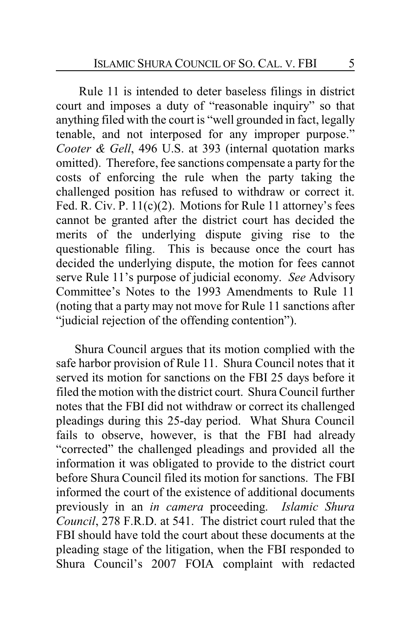Rule 11 is intended to deter baseless filings in district court and imposes a duty of "reasonable inquiry" so that anything filed with the court is "well grounded in fact, legally tenable, and not interposed for any improper purpose." *Cooter & Gell*, 496 U.S. at 393 (internal quotation marks omitted). Therefore, fee sanctions compensate a party for the costs of enforcing the rule when the party taking the challenged position has refused to withdraw or correct it. Fed. R. Civ. P. 11(c)(2). Motions for Rule 11 attorney's fees cannot be granted after the district court has decided the merits of the underlying dispute giving rise to the questionable filing. This is because once the court has decided the underlying dispute, the motion for fees cannot serve Rule 11's purpose of judicial economy. *See* Advisory Committee's Notes to the 1993 Amendments to Rule 11 (noting that a party may not move for Rule 11 sanctions after "judicial rejection of the offending contention").

Shura Council argues that its motion complied with the safe harbor provision of Rule 11. Shura Council notes that it served its motion for sanctions on the FBI 25 days before it filed the motion with the district court. Shura Council further notes that the FBI did not withdraw or correct its challenged pleadings during this 25-day period. What Shura Council fails to observe, however, is that the FBI had already "corrected" the challenged pleadings and provided all the information it was obligated to provide to the district court before Shura Council filed its motion for sanctions. The FBI informed the court of the existence of additional documents previously in an *in camera* proceeding. *Islamic Shura Council*, 278 F.R.D. at 541. The district court ruled that the FBI should have told the court about these documents at the pleading stage of the litigation, when the FBI responded to Shura Council's 2007 FOIA complaint with redacted